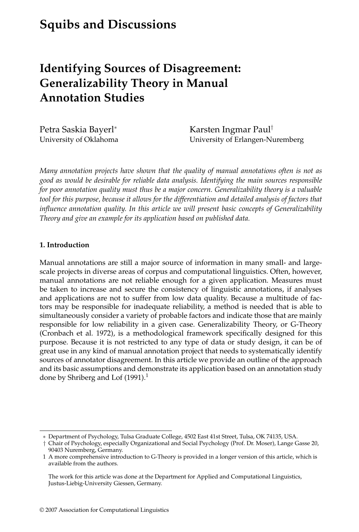# **Squibs and Discussions**

# **Identifying Sources of Disagreement: Generalizability Theory in Manual Annotation Studies**

Petra Saskia Bayerl<sup>∗</sup> University of Oklahoma Karsten Ingmar Paul† University of Erlangen-Nuremberg

*Many annotation projects have shown that the quality of manual annotations often is not as good as would be desirable for reliable data analysis. Identifying the main sources responsible for poor annotation quality must thus be a major concern. Generalizability theory is a valuable tool for this purpose, because it allows for the differentiation and detailed analysis of factors that influence annotation quality. In this article we will present basic concepts of Generalizability Theory and give an example for its application based on published data.*

#### **1. Introduction**

Manual annotations are still a major source of information in many small- and largescale projects in diverse areas of corpus and computational linguistics. Often, however, manual annotations are not reliable enough for a given application. Measures must be taken to increase and secure the consistency of linguistic annotations, if analyses and applications are not to suffer from low data quality. Because a multitude of factors may be responsible for inadequate reliability, a method is needed that is able to simultaneously consider a variety of probable factors and indicate those that are mainly responsible for low reliability in a given case. Generalizability Theory, or G-Theory (Cronbach et al. 1972), is a methodological framework specifically designed for this purpose. Because it is not restricted to any type of data or study design, it can be of great use in any kind of manual annotation project that needs to systematically identify sources of annotator disagreement. In this article we provide an outline of the approach and its basic assumptions and demonstrate its application based on an annotation study done by Shriberg and Lof  $(1991).$ <sup>1</sup>

<sup>∗</sup> Department of Psychology, Tulsa Graduate College, 4502 East 41st Street, Tulsa, OK 74135, USA.

<sup>†</sup> Chair of Psychology, especially Organizational and Social Psychology (Prof. Dr. Moser), Lange Gasse 20, 90403 Nuremberg, Germany.

<sup>1</sup> A more comprehensive introduction to G-Theory is provided in a longer version of this article, which is available from the authors.

The work for this article was done at the Department for Applied and Computational Linguistics, Justus-Liebig-University Giessen, Germany.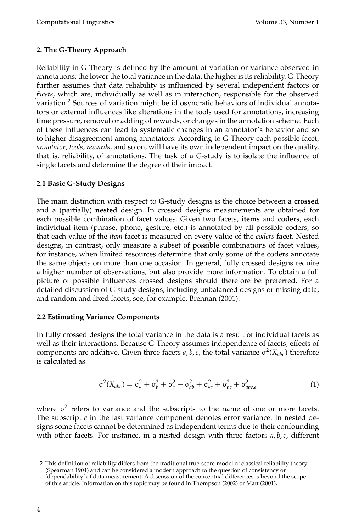## **2. The G-Theory Approach**

Reliability in G-Theory is defined by the amount of variation or variance observed in annotations; the lower the total variance in the data, the higher is its reliability. G-Theory further assumes that data reliability is influenced by several independent factors or *facets*, which are, individually as well as in interaction, responsible for the observed variation.<sup>2</sup> Sources of variation might be idiosyncratic behaviors of individual annotators or external influences like alterations in the tools used for annotations, increasing time pressure, removal or adding of rewards, or changes in the annotation scheme. Each of these influences can lead to systematic changes in an annotator's behavior and so to higher disagreement among annotators. According to G-Theory each possible facet, *annotator*, *tools*, *rewards*, and so on, will have its own independent impact on the quality, that is, reliability, of annotations. The task of a G-study is to isolate the influence of single facets and determine the degree of their impact.

#### **2.1 Basic G-Study Designs**

The main distinction with respect to G-study designs is the choice between a **crossed** and a (partially) **nested** design. In crossed designs measurements are obtained for each possible combination of facet values. Given two facets, **items** and **coders**, each individual item (phrase, phone, gesture, etc.) is annotated by all possible coders, so that each value of the *item* facet is measured on every value of the *coders* facet. Nested designs, in contrast, only measure a subset of possible combinations of facet values, for instance, when limited resources determine that only some of the coders annotate the same objects on more than one occasion. In general, fully crossed designs require a higher number of observations, but also provide more information. To obtain a full picture of possible influences crossed designs should therefore be preferred. For a detailed discussion of G-study designs, including unbalanced designs or missing data, and random and fixed facets, see, for example, Brennan (2001).

#### **2.2 Estimating Variance Components**

In fully crossed designs the total variance in the data is a result of individual facets as well as their interactions. Because G-Theory assumes independence of facets, effects of components are additive. Given three facets *a*, *b*, *c*, the total variance  $\sigma^2(X_{abc})$  therefore is calculated as

$$
\sigma^{2}(X_{abc}) = \sigma_{a}^{2} + \sigma_{b}^{2} + \sigma_{c}^{2} + \sigma_{ab}^{2} + \sigma_{ac}^{2} + \sigma_{bc}^{2} + \sigma_{abc,e}^{2}
$$
 (1)

where  $\sigma^2$  refers to variance and the subscripts to the name of one or more facets. The subscript *e* in the last variance component denotes error variance. In nested designs some facets cannot be determined as independent terms due to their confounding with other facets. For instance, in a nested design with three factors *a*, *b*, *c*, different

<sup>2</sup> This definition of reliability differs from the traditional true-score-model of classical reliability theory (Spearman 1904) and can be considered a modern approach to the question of consistency or 'dependability' of data measurement. A discussion of the conceptual differences is beyond the scope of this article. Information on this topic may be found in Thompson (2002) or Matt (2001).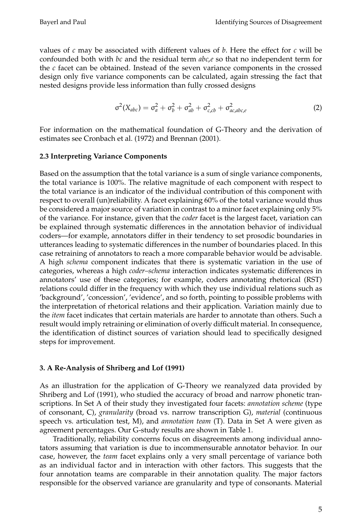values of *c* may be associated with different values of *b*. Here the effect for *c* will be confounded both with *bc* and the residual term *abc*,*e* so that no independent term for the *c* facet can be obtained. Instead of the seven variance components in the crossed design only five variance components can be calculated, again stressing the fact that nested designs provide less information than fully crossed designs

$$
\sigma^2(X_{abc}) = \sigma_a^2 + \sigma_b^2 + \sigma_{ab}^2 + \sigma_{c,cb}^2 + \sigma_{ac,abc,c}^2
$$
 (2)

For information on the mathematical foundation of G-Theory and the derivation of estimates see Cronbach et al. (1972) and Brennan (2001).

#### **2.3 Interpreting Variance Components**

Based on the assumption that the total variance is a sum of single variance components, the total variance is 100%. The relative magnitude of each component with respect to the total variance is an indicator of the individual contribution of this component with respect to overall (un)reliability. A facet explaining 60% of the total variance would thus be considered a major source of variation in contrast to a minor facet explaining only 5% of the variance. For instance, given that the *coder* facet is the largest facet, variation can be explained through systematic differences in the annotation behavior of individual coders—for example, annotators differ in their tendency to set prosodic boundaries in utterances leading to systematic differences in the number of boundaries placed. In this case retraining of annotators to reach a more comparable behavior would be advisable. A high *schema* component indicates that there is systematic variation in the use of categories, whereas a high *coder–schema* interaction indicates systematic differences in annotators' use of these categories; for example, coders annotating rhetorical (RST) relations could differ in the frequency with which they use individual relations such as 'background', 'concession', 'evidence', and so forth, pointing to possible problems with the interpretation of rhetorical relations and their application. Variation mainly due to the *item* facet indicates that certain materials are harder to annotate than others. Such a result would imply retraining or elimination of overly difficult material. In consequence, the identification of distinct sources of variation should lead to specifically designed steps for improvement.

#### **3. A Re-Analysis of Shriberg and Lof (1991)**

As an illustration for the application of G-Theory we reanalyzed data provided by Shriberg and Lof (1991), who studied the accuracy of broad and narrow phonetic transcriptions. In Set A of their study they investigated four facets: *annotation scheme* (type of consonant, C), *granularity* (broad vs. narrow transcription G), *material* (continuous speech vs. articulation test, M), and *annotation team* (T). Data in Set A were given as agreement percentages. Our G-study results are shown in Table 1.

Traditionally, reliability concerns focus on disagreements among individual annotators assuming that variation is due to incommensurable annotator behavior. In our case, however, the *team* facet explains only a very small percentage of variance both as an individual factor and in interaction with other factors. This suggests that the four annotation teams are comparable in their annotation quality. The major factors responsible for the observed variance are granularity and type of consonants. Material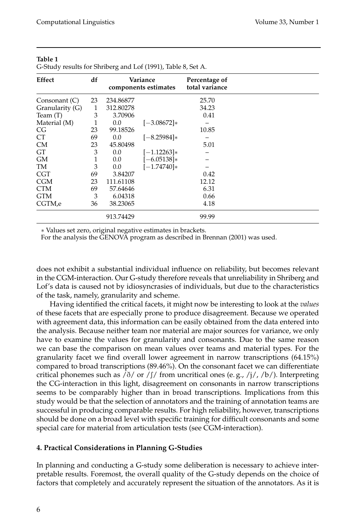| Effect          | df | Variance<br>components estimates |               | Percentage of<br>total variance |  |
|-----------------|----|----------------------------------|---------------|---------------------------------|--|
| Consonant (C)   | 23 | 234.86877                        |               | 25.70                           |  |
| Granularity (G) | 1  | 312.80278                        |               | 34.23                           |  |
| Team $(T)$      | 3  | 3.70906                          |               | 0.41                            |  |
| Material (M)    | 1  | $0.0\,$                          | $[-3.08672]*$ |                                 |  |
| CG              | 23 | 99.18526                         |               | 10.85                           |  |
| CT              | 69 | $0.0\,$                          | $[-8.25984]*$ |                                 |  |
| CM              | 23 | 45.80498                         |               | 5.01                            |  |
| <b>GT</b>       | 3  | 0.0                              | $[-1.12263]*$ |                                 |  |
| <b>GM</b>       | 1  | 0.0                              | $[-6.05138]*$ |                                 |  |
| TM              | 3  | $0.0\,$                          | $[-1.74740]*$ |                                 |  |
| <b>CGT</b>      | 69 | 3.84207                          |               | 0.42                            |  |
| <b>CGM</b>      | 23 | 111.61108                        |               | 12.12                           |  |
| <b>CTM</b>      | 69 | 57.64646                         |               | 6.31                            |  |
| <b>GTM</b>      | 3  | 6.04318                          |               | 0.66                            |  |
| CGTM,e          | 36 | 38.23065                         |               | 4.18                            |  |
|                 |    | 913.74429                        |               | 99.99                           |  |

| Table 1 |                                                              |  |  |  |
|---------|--------------------------------------------------------------|--|--|--|
|         | G-Study results for Shriberg and Lof (1991), Table 8, Set A. |  |  |  |

∗ Values set zero, original negative estimates in brackets.

For the analysis the GENOVA program as described in Brennan (2001) was used.

does not exhibit a substantial individual influence on reliability, but becomes relevant in the CGM-interaction. Our G-study therefore reveals that unreliability in Shriberg and Lof's data is caused not by idiosyncrasies of individuals, but due to the characteristics of the task, namely, granularity and scheme.

Having identified the critical facets, it might now be interesting to look at the *values* of these facets that are especially prone to produce disagreement. Because we operated with agreement data, this information can be easily obtained from the data entered into the analysis. Because neither team nor material are major sources for variance, we only have to examine the values for granularity and consonants. Due to the same reason we can base the comparison on mean values over teams and material types. For the granularity facet we find overall lower agreement in narrow transcriptions (64.15%) compared to broad transcriptions (89.46%). On the consonant facet we can differentiate critical phonemes such as / $\delta$ / or / $\int$ / from uncritical ones (e.g., / $\frac{1}{\ell}$ //, /b/). Interpreting the CG-interaction in this light, disagreement on consonants in narrow transcriptions seems to be comparably higher than in broad transcriptions. Implications from this study would be that the selection of annotators and the training of annotation teams are successful in producing comparable results. For high reliability, however, transcriptions should be done on a broad level with specific training for difficult consonants and some special care for material from articulation tests (see CGM-interaction).

#### **4. Practical Considerations in Planning G-Studies**

In planning and conducting a G-study some deliberation is necessary to achieve interpretable results. Foremost, the overall quality of the G-study depends on the choice of factors that completely and accurately represent the situation of the annotators. As it is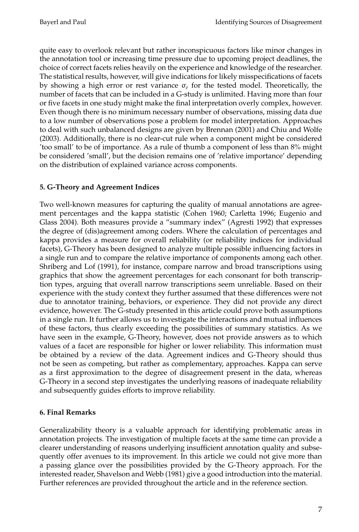quite easy to overlook relevant but rather inconspicuous factors like minor changes in the annotation tool or increasing time pressure due to upcoming project deadlines, the choice of correct facets relies heavily on the experience and knowledge of the researcher. The statistical results, however, will give indications for likely misspecifications of facets by showing a high error or rest variance  $\sigma_e$  for the tested model. Theoretically, the number of facets that can be included in a G-study is unlimited. Having more than four or five facets in one study might make the final interpretation overly complex, however. Even though there is no minimum necessary number of observations, missing data due to a low number of observations pose a problem for model interpretation. Approaches to deal with such unbalanced designs are given by Brennan (2001) and Chiu and Wolfe (2003). Additionally, there is no clear-cut rule when a component might be considered 'too small' to be of importance. As a rule of thumb a component of less than 8% might be considered 'small', but the decision remains one of 'relative importance' depending on the distribution of explained variance across components.

# **5. G-Theory and Agreement Indices**

Two well-known measures for capturing the quality of manual annotations are agreement percentages and the kappa statistic (Cohen 1960; Carletta 1996; Eugenio and Glass 2004). Both measures provide a "summary index" (Agresti 1992) that expresses the degree of (dis)agreement among coders. Where the calculation of percentages and kappa provides a measure for overall reliability (or reliability indices for individual facets), G-Theory has been designed to analyze multiple possible influencing factors in a single run and to compare the relative importance of components among each other. Shriberg and Lof (1991), for instance, compare narrow and broad transcriptions using graphics that show the agreement percentages for each consonant for both transcription types, arguing that overall narrow transcriptions seem unreliable. Based on their experience with the study context they further assumed that these differences were not due to annotator training, behaviors, or experience. They did not provide any direct evidence, however. The G-study presented in this article could prove both assumptions in a single run. It further allows us to investigate the interactions and mutual influences of these factors, thus clearly exceeding the possibilities of summary statistics. As we have seen in the example, G-Theory, however, does not provide answers as to which values of a facet are responsible for higher or lower reliability. This information must be obtained by a review of the data. Agreement indices and G-Theory should thus not be seen as competing, but rather as complementary, approaches. Kappa can serve as a first approximation to the degree of disagreement present in the data, whereas G-Theory in a second step investigates the underlying reasons of inadequate reliability and subsequently guides efforts to improve reliability.

## **6. Final Remarks**

Generalizability theory is a valuable approach for identifying problematic areas in annotation projects. The investigation of multiple facets at the same time can provide a clearer understanding of reasons underlying insufficient annotation quality and subsequently offer avenues to its improvement. In this article we could not give more than a passing glance over the possibilities provided by the G-Theory approach. For the interested reader, Shavelson and Webb (1981) give a good introduction into the material. Further references are provided throughout the article and in the reference section.